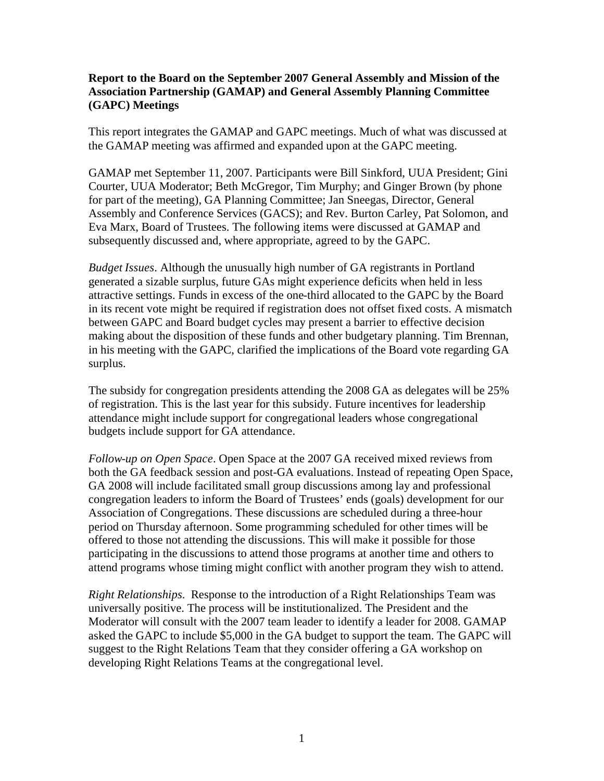## **Report to the Board on the September 2007 General Assembly and Mission of the Association Partnership (GAMAP) and General Assembly Planning Committee (GAPC) Meetings**

This report integrates the GAMAP and GAPC meetings. Much of what was discussed at the GAMAP meeting was affirmed and expanded upon at the GAPC meeting.

GAMAP met September 11, 2007. Participants were Bill Sinkford, UUA President; Gini Courter, UUA Moderator; Beth McGregor, Tim Murphy; and Ginger Brown (by phone for part of the meeting), GA Planning Committee; Jan Sneegas, Director, General Assembly and Conference Services (GACS); and Rev. Burton Carley, Pat Solomon, and Eva Marx, Board of Trustees. The following items were discussed at GAMAP and subsequently discussed and, where appropriate, agreed to by the GAPC.

*Budget Issues*. Although the unusually high number of GA registrants in Portland generated a sizable surplus, future GAs might experience deficits when held in less attractive settings. Funds in excess of the one-third allocated to the GAPC by the Board in its recent vote might be required if registration does not offset fixed costs. A mismatch between GAPC and Board budget cycles may present a barrier to effective decision making about the disposition of these funds and other budgetary planning. Tim Brennan, in his meeting with the GAPC, clarified the implications of the Board vote regarding GA surplus.

The subsidy for congregation presidents attending the 2008 GA as delegates will be 25% of registration. This is the last year for this subsidy. Future incentives for leadership attendance might include support for congregational leaders whose congregational budgets include support for GA attendance.

*Follow-up on Open Space*. Open Space at the 2007 GA received mixed reviews from both the GA feedback session and post-GA evaluations. Instead of repeating Open Space, GA 2008 will include facilitated small group discussions among lay and professional congregation leaders to inform the Board of Trustees' ends (goals) development for our Association of Congregations. These discussions are scheduled during a three-hour period on Thursday afternoon. Some programming scheduled for other times will be offered to those not attending the discussions. This will make it possible for those participating in the discussions to attend those programs at another time and others to attend programs whose timing might conflict with another program they wish to attend.

*Right Relationships*. Response to the introduction of a Right Relationships Team was universally positive. The process will be institutionalized. The President and the Moderator will consult with the 2007 team leader to identify a leader for 2008. GAMAP asked the GAPC to include \$5,000 in the GA budget to support the team. The GAPC will suggest to the Right Relations Team that they consider offering a GA workshop on developing Right Relations Teams at the congregational level.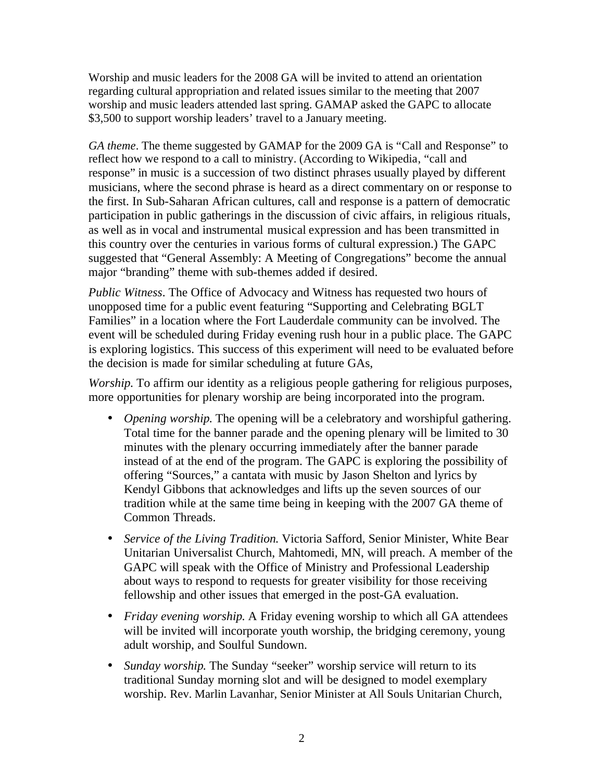Worship and music leaders for the 2008 GA will be invited to attend an orientation regarding cultural appropriation and related issues similar to the meeting that 2007 worship and music leaders attended last spring. GAMAP asked the GAPC to allocate \$3,500 to support worship leaders' travel to a January meeting.

*GA theme*. The theme suggested by GAMAP for the 2009 GA is "Call and Response" to reflect how we respond to a call to ministry. (According to Wikipedia, "call and response" in music is a succession of two distinct phrases usually played by different musicians, where the second phrase is heard as a direct commentary on or response to the first. In Sub-Saharan African cultures, call and response is a pattern of democratic participation in public gatherings in the discussion of civic affairs, in religious rituals, as well as in vocal and instrumental musical expression and has been transmitted in this country over the centuries in various forms of cultural expression.) The GAPC suggested that "General Assembly: A Meeting of Congregations" become the annual major "branding" theme with sub-themes added if desired.

*Public Witness*. The Office of Advocacy and Witness has requested two hours of unopposed time for a public event featuring "Supporting and Celebrating BGLT Families" in a location where the Fort Lauderdale community can be involved. The event will be scheduled during Friday evening rush hour in a public place. The GAPC is exploring logistics. This success of this experiment will need to be evaluated before the decision is made for similar scheduling at future GAs,

*Worship*. To affirm our identity as a religious people gathering for religious purposes, more opportunities for plenary worship are being incorporated into the program.

- *Opening worship*. The opening will be a celebratory and worshipful gathering. Total time for the banner parade and the opening plenary will be limited to 30 minutes with the plenary occurring immediately after the banner parade instead of at the end of the program. The GAPC is exploring the possibility of offering "Sources," a cantata with music by Jason Shelton and lyrics by Kendyl Gibbons that acknowledges and lifts up the seven sources of our tradition while at the same time being in keeping with the 2007 GA theme of Common Threads.
- *Service of the Living Tradition*. Victoria Safford, Senior Minister, White Bear Unitarian Universalist Church, Mahtomedi, MN, will preach. A member of the GAPC will speak with the Office of Ministry and Professional Leadership about ways to respond to requests for greater visibility for those receiving fellowship and other issues that emerged in the post-GA evaluation.
- *Friday evening worship*. A Friday evening worship to which all GA attendees will be invited will incorporate youth worship, the bridging ceremony, young adult worship, and Soulful Sundown.
- *Sunday worship*. The Sunday "seeker" worship service will return to its traditional Sunday morning slot and will be designed to model exemplary worship. Rev. Marlin Lavanhar, Senior Minister at All Souls Unitarian Church,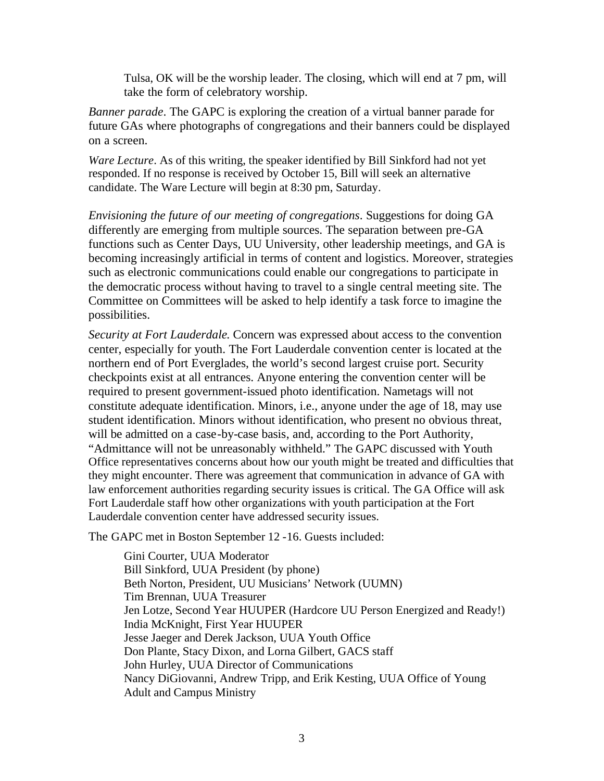Tulsa, OK will be the worship leader. The closing, which will end at 7 pm, will take the form of celebratory worship.

*Banner parade*. The GAPC is exploring the creation of a virtual banner parade for future GAs where photographs of congregations and their banners could be displayed on a screen.

*Ware Lecture*. As of this writing, the speaker identified by Bill Sinkford had not yet responded. If no response is received by October 15, Bill will seek an alternative candidate. The Ware Lecture will begin at 8:30 pm, Saturday.

*Envisioning the future of our meeting of congregations*. Suggestions for doing GA differently are emerging from multiple sources. The separation between pre-GA functions such as Center Days, UU University, other leadership meetings, and GA is becoming increasingly artificial in terms of content and logistics. Moreover, strategies such as electronic communications could enable our congregations to participate in the democratic process without having to travel to a single central meeting site. The Committee on Committees will be asked to help identify a task force to imagine the possibilities.

*Security at Fort Lauderdale*. Concern was expressed about access to the convention center, especially for youth. The Fort Lauderdale convention center is located at the northern end of Port Everglades, the world's second largest cruise port. Security checkpoints exist at all entrances. Anyone entering the convention center will be required to present government-issued photo identification. Nametags will not constitute adequate identification. Minors, i.e., anyone under the age of 18, may use student identification. Minors without identification, who present no obvious threat, will be admitted on a case-by-case basis, and, according to the Port Authority, "Admittance will not be unreasonably withheld." The GAPC discussed with Youth Office representatives concerns about how our youth might be treated and difficulties that they might encounter. There was agreement that communication in advance of GA with law enforcement authorities regarding security issues is critical. The GA Office will ask Fort Lauderdale staff how other organizations with youth participation at the Fort Lauderdale convention center have addressed security issues.

The GAPC met in Boston September 12 -16. Guests included:

Gini Courter, UUA Moderator Bill Sinkford, UUA President (by phone) Beth Norton, President, UU Musicians' Network (UUMN) Tim Brennan, UUA Treasurer Jen Lotze, Second Year HUUPER (Hardcore UU Person Energized and Ready!) India McKnight, First Year HUUPER Jesse Jaeger and Derek Jackson, UUA Youth Office Don Plante, Stacy Dixon, and Lorna Gilbert, GACS staff John Hurley, UUA Director of Communications Nancy DiGiovanni, Andrew Tripp, and Erik Kesting, UUA Office of Young Adult and Campus Ministry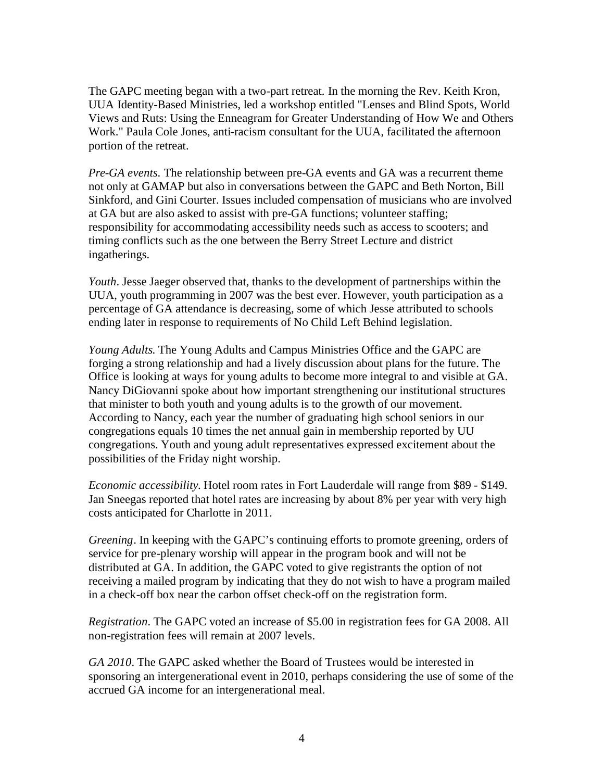The GAPC meeting began with a two-part retreat. In the morning the Rev. Keith Kron, UUA Identity-Based Ministries, led a workshop entitled "Lenses and Blind Spots, World Views and Ruts: Using the Enneagram for Greater Understanding of How We and Others Work." Paula Cole Jones, anti-racism consultant for the UUA, facilitated the afternoon portion of the retreat.

*Pre-GA events.* The relationship between pre-GA events and GA was a recurrent theme not only at GAMAP but also in conversations between the GAPC and Beth Norton, Bill Sinkford, and Gini Courter. Issues included compensation of musicians who are involved at GA but are also asked to assist with pre-GA functions; volunteer staffing; responsibility for accommodating accessibility needs such as access to scooters; and timing conflicts such as the one between the Berry Street Lecture and district ingatherings.

*Youth*. Jesse Jaeger observed that, thanks to the development of partnerships within the UUA, youth programming in 2007 was the best ever. However, youth participation as a percentage of GA attendance is decreasing, some of which Jesse attributed to schools ending later in response to requirements of No Child Left Behind legislation.

*Young Adults*. The Young Adults and Campus Ministries Office and the GAPC are forging a strong relationship and had a lively discussion about plans for the future. The Office is looking at ways for young adults to become more integral to and visible at GA. Nancy DiGiovanni spoke about how important strengthening our institutional structures that minister to both youth and young adults is to the growth of our movement. According to Nancy, each year the number of graduating high school seniors in our congregations equals 10 times the net annual gain in membership reported by UU congregations. Youth and young adult representatives expressed excitement about the possibilities of the Friday night worship.

*Economic accessibility*. Hotel room rates in Fort Lauderdale will range from \$89 - \$149. Jan Sneegas reported that hotel rates are increasing by about 8% per year with very high costs anticipated for Charlotte in 2011.

*Greening*. In keeping with the GAPC's continuing efforts to promote greening, orders of service for pre-plenary worship will appear in the program book and will not be distributed at GA. In addition, the GAPC voted to give registrants the option of not receiving a mailed program by indicating that they do not wish to have a program mailed in a check-off box near the carbon offset check-off on the registration form.

*Registration*. The GAPC voted an increase of \$5.00 in registration fees for GA 2008. All non-registration fees will remain at 2007 levels.

*GA 2010*. The GAPC asked whether the Board of Trustees would be interested in sponsoring an intergenerational event in 2010, perhaps considering the use of some of the accrued GA income for an intergenerational meal.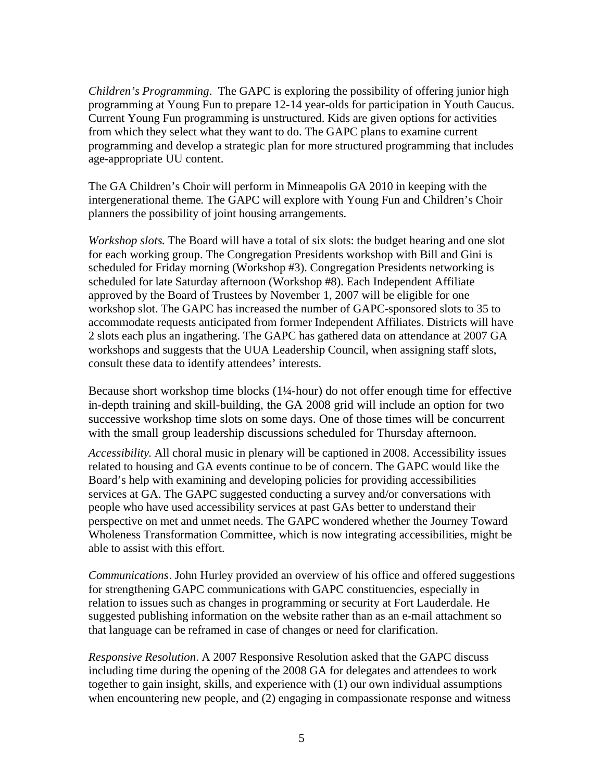*Children's Programming*. The GAPC is exploring the possibility of offering junior high programming at Young Fun to prepare 12-14 year-olds for participation in Youth Caucus. Current Young Fun programming is unstructured. Kids are given options for activities from which they select what they want to do. The GAPC plans to examine current programming and develop a strategic plan for more structured programming that includes age-appropriate UU content.

The GA Children's Choir will perform in Minneapolis GA 2010 in keeping with the intergenerational theme. The GAPC will explore with Young Fun and Children's Choir planners the possibility of joint housing arrangements.

*Workshop slots*. The Board will have a total of six slots: the budget hearing and one slot for each working group. The Congregation Presidents workshop with Bill and Gini is scheduled for Friday morning (Workshop #3). Congregation Presidents networking is scheduled for late Saturday afternoon (Workshop #8). Each Independent Affiliate approved by the Board of Trustees by November 1, 2007 will be eligible for one workshop slot. The GAPC has increased the number of GAPC-sponsored slots to 35 to accommodate requests anticipated from former Independent Affiliates. Districts will have 2 slots each plus an ingathering. The GAPC has gathered data on attendance at 2007 GA workshops and suggests that the UUA Leadership Council, when assigning staff slots, consult these data to identify attendees' interests.

Because short workshop time blocks (1¼-hour) do not offer enough time for effective in-depth training and skill-building, the GA 2008 grid will include an option for two successive workshop time slots on some days. One of those times will be concurrent with the small group leadership discussions scheduled for Thursday afternoon.

*Accessibility*. All choral music in plenary will be captioned in 2008. Accessibility issues related to housing and GA events continue to be of concern. The GAPC would like the Board's help with examining and developing policies for providing accessibilities services at GA. The GAPC suggested conducting a survey and/or conversations with people who have used accessibility services at past GAs better to understand their perspective on met and unmet needs. The GAPC wondered whether the Journey Toward Wholeness Transformation Committee, which is now integrating accessibilities, might be able to assist with this effort.

*Communications*. John Hurley provided an overview of his office and offered suggestions for strengthening GAPC communications with GAPC constituencies, especially in relation to issues such as changes in programming or security at Fort Lauderdale. He suggested publishing information on the website rather than as an e-mail attachment so that language can be reframed in case of changes or need for clarification.

*Responsive Resolution*. A 2007 Responsive Resolution asked that the GAPC discuss including time during the opening of the 2008 GA for delegates and attendees to work together to gain insight, skills, and experience with (1) our own individual assumptions when encountering new people, and (2) engaging in compassionate response and witness